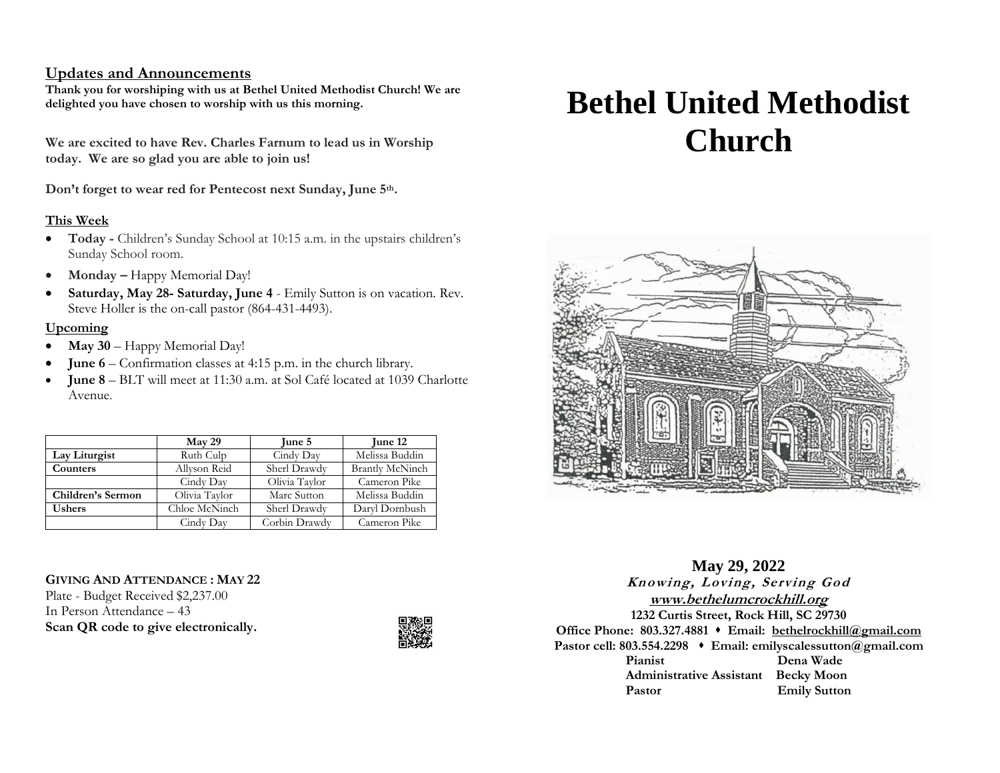## **Updates and Announcements**

**Thank you for worshiping with us at Bethel United Methodist Church! We are delighted you have chosen to worship with us this morning.**

**We are excited to have Rev. Charles Farnum to lead us in Worship today. We are so glad you are able to join us!**

**Don't forget to wear red for Pentecost next Sunday, June 5th.**

## **This Week**

- **Today -** Children's Sunday School at 10:15 a.m. in the upstairs children's Sunday School room.
- **Monday** Happy Memorial Day!
- **Saturday, May 28- Saturday, June 4** Emily Sutton is on vacation. Rev. Steve Holler is the on-call pastor (864-431-4493).

### **Upcoming**

- **May 30** Happy Memorial Day!
- **June 6** Confirmation classes at 4:15 p.m. in the church library.
- **June 8**  BLT will meet at 11:30 a.m. at Sol Café located at 1039 Charlotte Avenue.

|                   | May 29        | June 5        | June 12                |
|-------------------|---------------|---------------|------------------------|
| Lay Liturgist     | Ruth Culp     | Cindy Day     | Melissa Buddin         |
| Counters          | Allyson Reid  | Sherl Drawdy  | <b>Brantly McNinch</b> |
|                   | Cindy Day     | Olivia Taylor | Cameron Pike           |
| Children's Sermon | Olivia Taylor | Marc Sutton   | Melissa Buddin         |
| <b>Ushers</b>     | Chloe McNinch | Sherl Drawdy  | Daryl Dornbush         |
|                   | Cindy Day     | Corbin Drawdy | Cameron Pike           |

## **GIVING AND ATTENDANCE : MAY 22**

Plate - Budget Received \$2,237.00 In Person Attendance – 43 **Scan QR code to give electronically.**



# **Bethel United Methodist Church**



**May 29, 2022 Knowing, Loving, Serving God [www.bethelumcrockhill.org](http://www.bethelrockhill.org/) 1232 Curtis Street, Rock Hill, SC 29730 Office Phone: 803.327.4881** ⬧ **Email: [bethelrockhill@gmail.com](mailto:bethelrockhill@gmail.com) Pastor cell: 803.554.2298** ⬧ **Email: emilyscalessutton@gmail.com Pianist Dena Wade Administrative Assistant Becky Moon** Pastor **Emily Sutton**